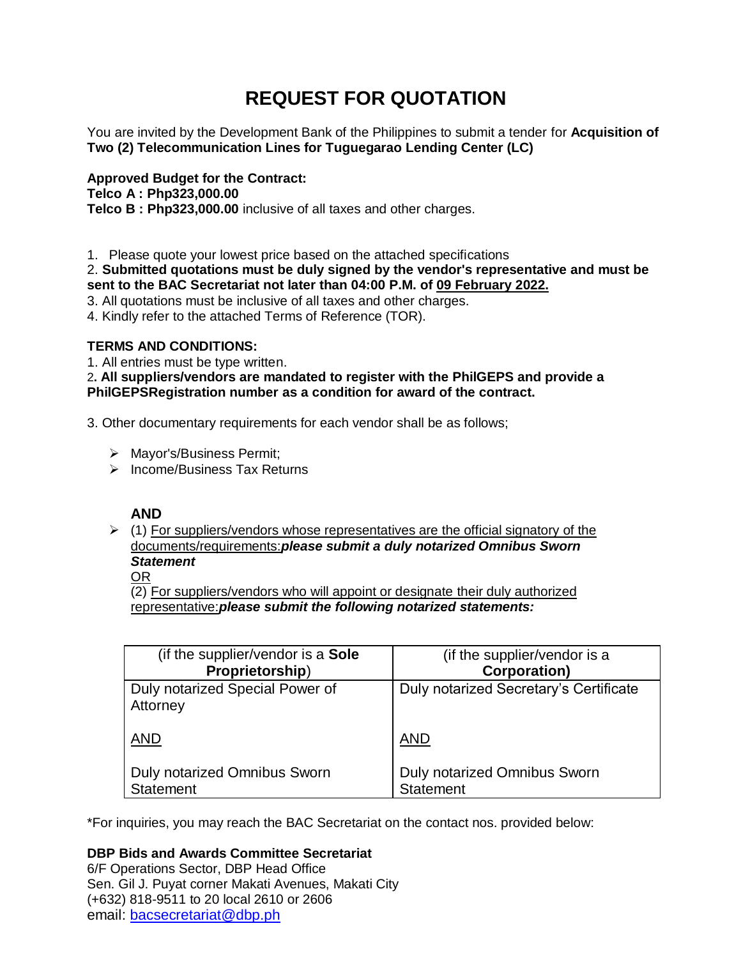# **REQUEST FOR QUOTATION**

You are invited by the Development Bank of the Philippines to submit a tender for **Acquisition of Two (2) Telecommunication Lines for Tuguegarao Lending Center (LC)**

**Approved Budget for the Contract: Telco A : Php323,000.00 Telco B : Php323,000.00** inclusive of all taxes and other charges.

1. Please quote your lowest price based on the attached specifications

## 2. **Submitted quotations must be duly signed by the vendor's representative and must be sent to the BAC Secretariat not later than 04:00 P.M. of 09 February 2022.**

- 3. All quotations must be inclusive of all taxes and other charges.
- 4. Kindly refer to the attached Terms of Reference (TOR).

# **TERMS AND CONDITIONS:**

1. All entries must be type written.

2**. All suppliers/vendors are mandated to register with the PhilGEPS and provide a PhilGEPSRegistration number as a condition for award of the contract.**

3. Other documentary requirements for each vendor shall be as follows;

- > Mayor's/Business Permit;
- $\triangleright$  Income/Business Tax Returns

# **AND**

 $\geq$  (1) For suppliers/vendors whose representatives are the official signatory of the documents/requirements:*please submit a duly notarized Omnibus Sworn Statement*

OR

(2) For suppliers/vendors who will appoint or designate their duly authorized representative:*please submit the following notarized statements:*

| (if the supplier/vendor is a Sole           | (if the supplier/vendor is a           |
|---------------------------------------------|----------------------------------------|
| Proprietorship)                             | <b>Corporation)</b>                    |
| Duly notarized Special Power of<br>Attorney | Duly notarized Secretary's Certificate |
| <b>AND</b>                                  | <b>AND</b>                             |
| <b>Duly notarized Omnibus Sworn</b>         | <b>Duly notarized Omnibus Sworn</b>    |
| <b>Statement</b>                            | <b>Statement</b>                       |

\*For inquiries, you may reach the BAC Secretariat on the contact nos. provided below:

# **DBP Bids and Awards Committee Secretariat**

6/F Operations Sector, DBP Head Office Sen. Gil J. Puyat corner Makati Avenues, Makati City (+632) 818-9511 to 20 local 2610 or 2606 email: [bacsecretariat@dbp.ph](mailto:bacsecretariat@dbp.ph)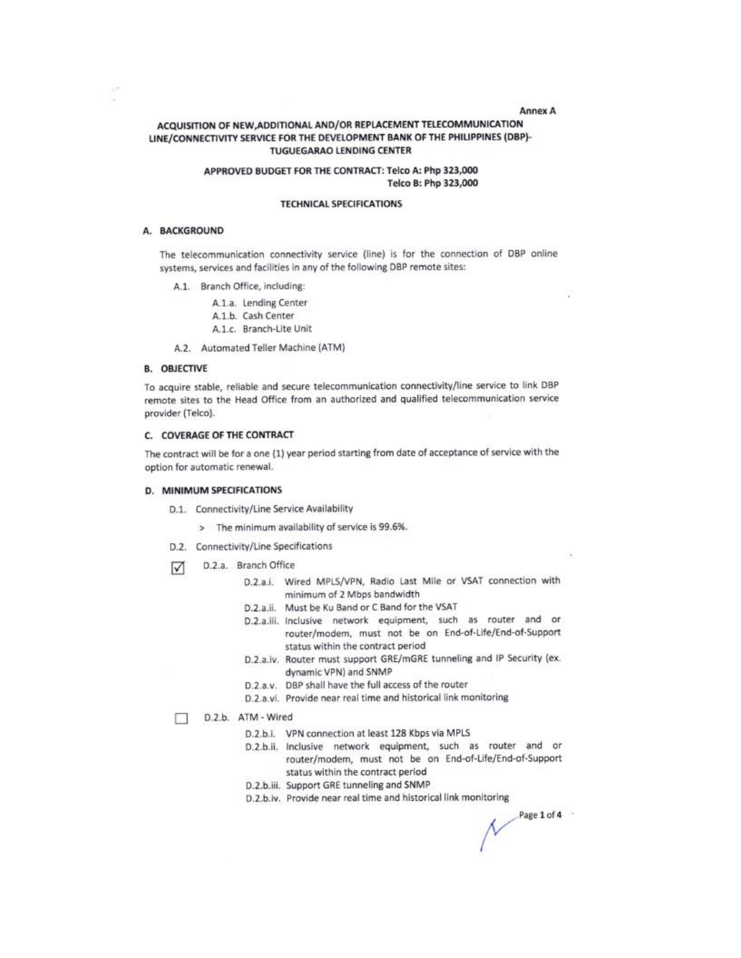#### **Annex A**

### ACQUISITION OF NEW, ADDITIONAL AND/OR REPLACEMENT TELECOMMUNICATION LINE/CONNECTIVITY SERVICE FOR THE DEVELOPMENT BANK OF THE PHILIPPINES (DBP)-**TUGUEGARAO LENDING CENTER**

### APPROVED BUDGET FOR THE CONTRACT: Telco A: Php 323,000 Telco B: Php 323,000

#### **TECHNICAL SPECIFICATIONS**

#### A. BACKGROUND

The telecommunication connectivity service (line) is for the connection of DBP online systems, services and facilities in any of the following DBP remote sites:

A.1. Branch Office, including:

A.1.a. Lending Center A.1.b. Cash Center A.1.c. Branch-Lite Unit

A.2. Automated Teller Machine (ATM)

#### **B. OBJECTIVE**

To acquire stable, reliable and secure telecommunication connectivity/line service to link DBP remote sites to the Head Office from an authorized and qualified telecommunication service provider (Telco).

#### C. COVERAGE OF THE CONTRACT

The contract will be for a one (1) year period starting from date of acceptance of service with the option for automatic renewal.

### D. MINIMUM SPECIFICATIONS

D.1. Connectivity/Line Service Availability

> The minimum availability of service is 99.6%.

- D.2. Connectivity/Line Specifications
- D.2.a. Branch Office ☑
	- D.2.a.i. Wired MPLS/VPN, Radio Last Mile or VSAT connection with minimum of 2 Mbps bandwidth
	- D.2.a.ii. Must be Ku Band or C Band for the VSAT
	- D.2.a.iii. Inclusive network equipment, such as router and or router/modem, must not be on End-of-Life/End-of-Support status within the contract period
	- D.2.a.iv. Router must support GRE/mGRE tunneling and IP Security (ex. dynamic VPN) and SNMP
	- D.2.a.v. DBP shall have the full access of the router
	- D.2.a.vi. Provide near real time and historical link monitoring

D.2.b. ATM - Wired п

- D.2.b.i. VPN connection at least 128 Kbps via MPLS
- D.2.b.ii. Inclusive network equipment, such as router and or router/modem, must not be on End-of-Life/End-of-Support status within the contract period
- D.2.b.iii. Support GRE tunneling and SNMP
- D.2.b.iv. Provide near real time and historical link monitoring

 $Page 1 of 4$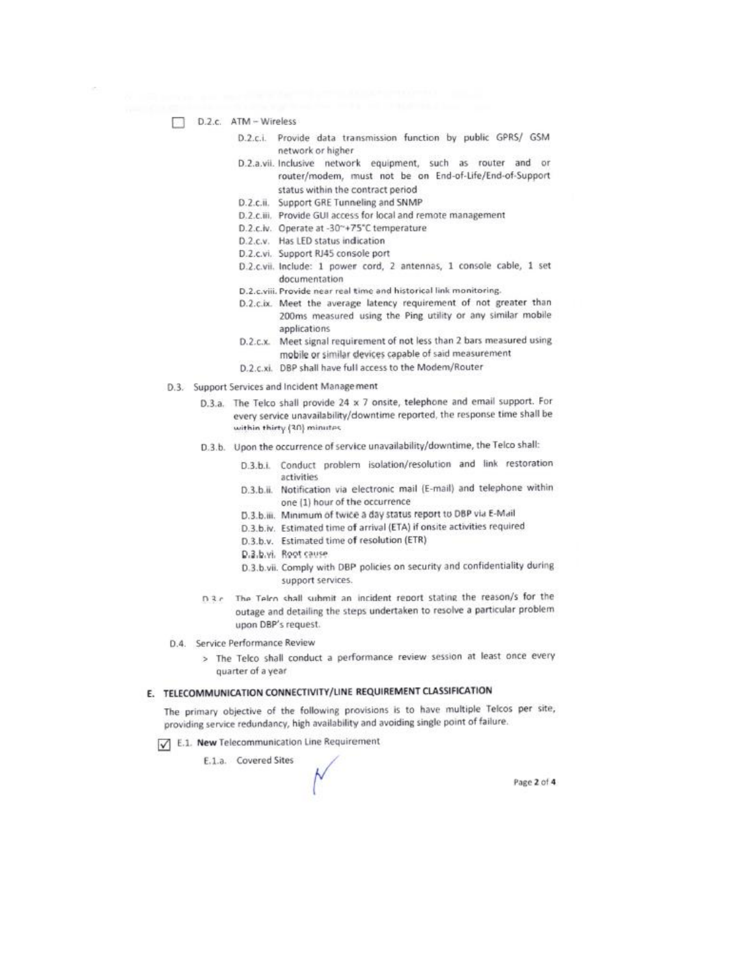- D.2.c. ATM Wireless
	- D.2.c.i. Provide data transmission function by public GPRS/ GSM network or higher
	- D.2.a.vii. Inclusive network equipment, such as router and or router/modem, must not be on End-of-Life/End-of-Support status within the contract period
	- D.2.c.ii. Support GRE Tunneling and SNMP
	- D.2.c.iii. Provide GUI access for local and remote management
	- D.2.c.iv. Operate at -30~+75"C temperature
	- D.2.c.v. Has LED status indication
	- D.2.c.vi. Support RJ45 console port
	- D.2.c.vii. Include: 1 power cord, 2 antennas, 1 console cable, 1 set documentation
	- D.2.c.viii. Provide near real time and historical link monitoring.
	- D.2.c.ix. Meet the average latency requirement of not greater than 200ms measured using the Ping utility or any similar mobile applications
	- D.2.c.x. Meet signal requirement of not less than 2 bars measured using mobile or similar devices capable of said measurement
	- D.2.c.xi. DBP shall have full access to the Modem/Router
- D.3. Support Services and Incident Management
	- D.3.a. The Telco shall provide 24 x 7 onsite, telephone and email support. For every service unavailability/downtime reported, the response time shall be within thirty (30) minutes
	- D.3.b. Upon the occurrence of service unavailability/downtime, the Telco shall:
		- D.3.b.i. Conduct problem isolation/resolution and link restoration activities
		- D.3.b.ii. Notification via electronic mail (E-mail) and telephone within one (1) hour of the occurrence
		- D.3.b.iii. Minimum of twice a day status report to DBP via E-Mail
		- D.3.b.iv. Estimated time of arrival (ETA) if onsite activities required
		- D.3.b.v. Estimated time of resolution (ETR)
		- D.3.b.vi. Root cause
		- D.3.b.vii. Comply with DBP policies on security and confidentiality during support services.
	- DRe The Telco shall submit an incident report stating the reason/s for the outage and detailing the steps undertaken to resolve a particular problem upon DBP's request.
- D.4 Service Performance Review
	- > The Telco shall conduct a performance review session at least once every quarter of a year

# E. TELECOMMUNICATION CONNECTIVITY/LINE REQUIREMENT CLASSIFICATION

The primary objective of the following provisions is to have multiple Telcos per site, providing service redundancy, high availability and avoiding single point of failure.

- E.1. New Telecommunication Line Requirement
	- E.1.a. Covered Sites

Page 2 of 4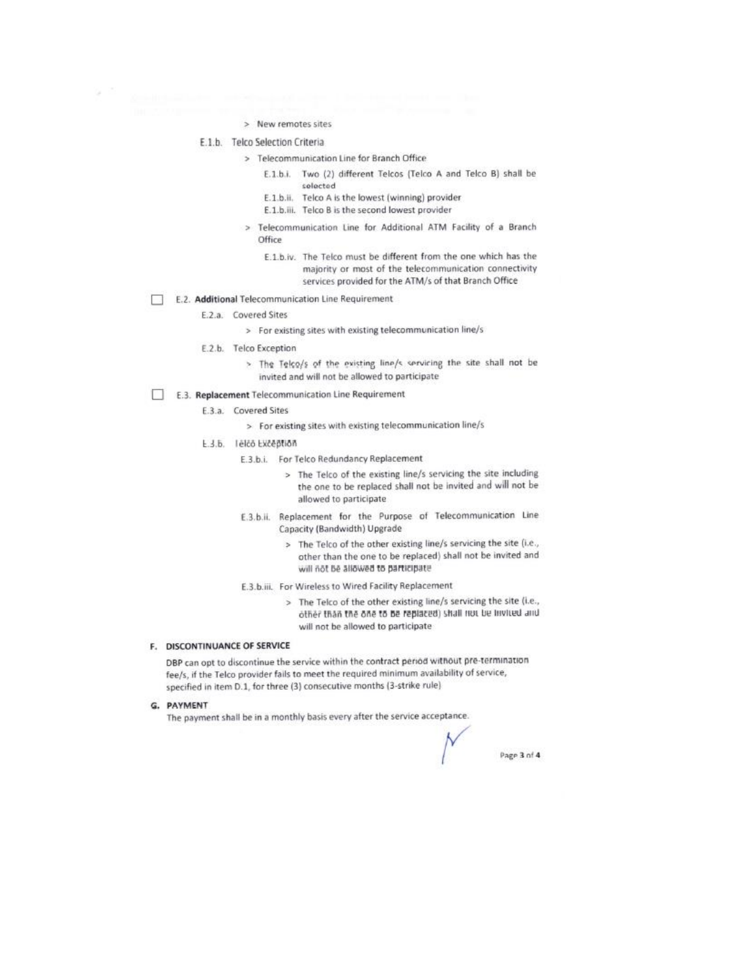- > New remotes sites
- E.1.b. Telco Selection Criteria
	- > Telecommunication Line for Branch Office
		- E.1.b.i. Two (2) different Telcos (Telco A and Telco B) shall be selected
		- E.1.b.ii. Telco A is the lowest (winning) provider
		- E.1.b.iii. Telco B is the second lowest provider
		- > Telecommunication Line for Additional ATM Facility of a Branch Office
			- E.1.b.iv. The Telco must be different from the one which has the majority or most of the telecommunication connectivity services provided for the ATM/s of that Branch Office
- E.2. Additional Telecommunication Line Requirement
	- E.2.a. Covered Sites

R

- > For existing sites with existing telecommunication line/s
- E.2.b. Telco Exception
	- > The Telco/s of the existing line/s servicing the site shall not be invited and will not be allowed to participate
- E.3. Replacement Telecommunication Line Requirement
	- E.3.a. Covered Sites
		- > For existing sites with existing telecommunication line/s
	- E.3.b. lelco Exception
		- E.3.b.i. For Telco Redundancy Replacement
			- > The Telco of the existing line/s servicing the site including the one to be replaced shall not be invited and will not be allowed to participate
		- E.3.b.ii. Replacement for the Purpose of Telecommunication Line Capacity (Bandwidth) Upgrade
			- > The Telco of the other existing line/s servicing the site (i.e., other than the one to be replaced) shall not be invited and will not be allowed to participate
		- E.3.b.iii. For Wireless to Wired Facility Replacement
			- > The Telco of the other existing line/s servicing the site (i.e., other than the one to be replaced) shall not be invited and will not be allowed to participate

#### F. DISCONTINUANCE OF SERVICE

DBP can opt to discontinue the service within the contract period without pre-termination fee/s, if the Telco provider fails to meet the required minimum availability of service, specified in item D.1, for three (3) consecutive months (3-strike rule)

G. PAYMENT

The payment shall be in a monthly basis every after the service acceptance.

Page 3 of 4